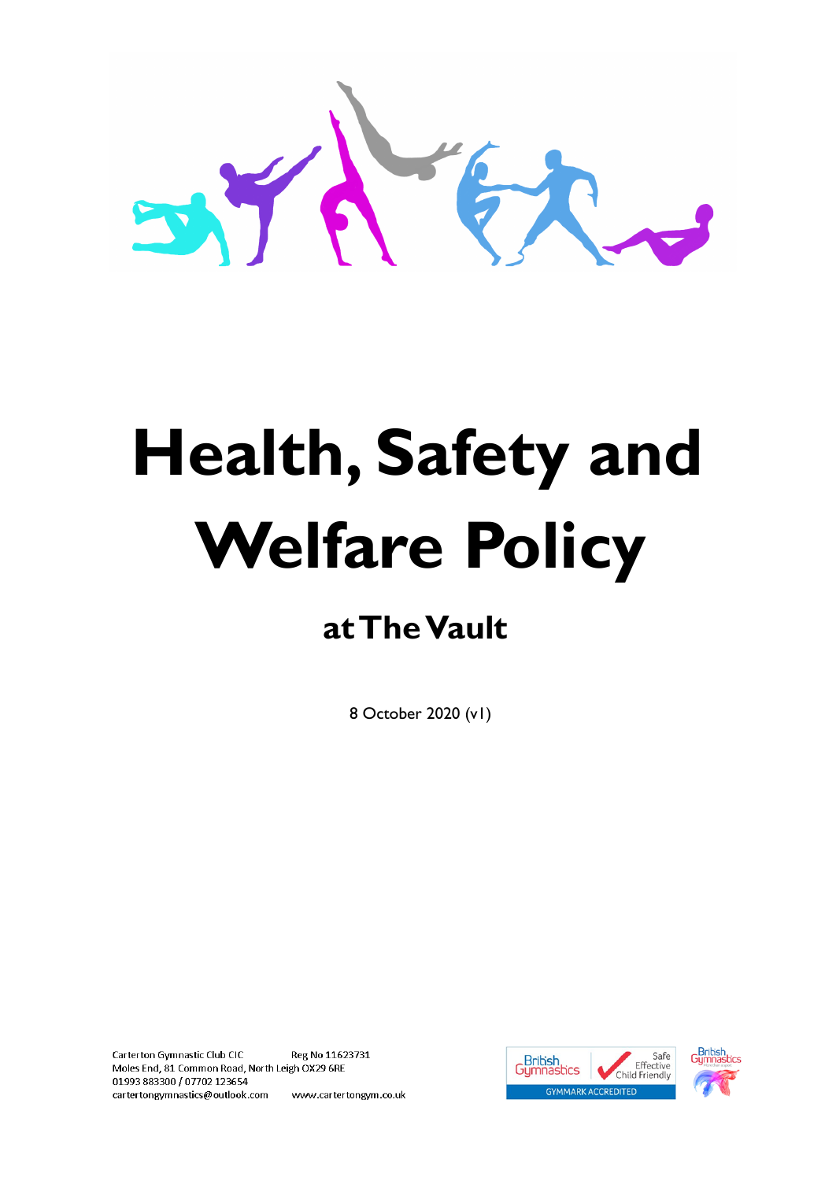

# **Health, Safety and Welfare Policy**

# **at The Vault**

8 October 2020 (v1)

Carterton Gymnastic Club CIC Reg No 11623731 Moles End, 81 Common Road, North Leigh OX29 6RE 01993 883300 / 07702 123654 cartertongymnastics@outlook.com www.cartertongym.co.uk



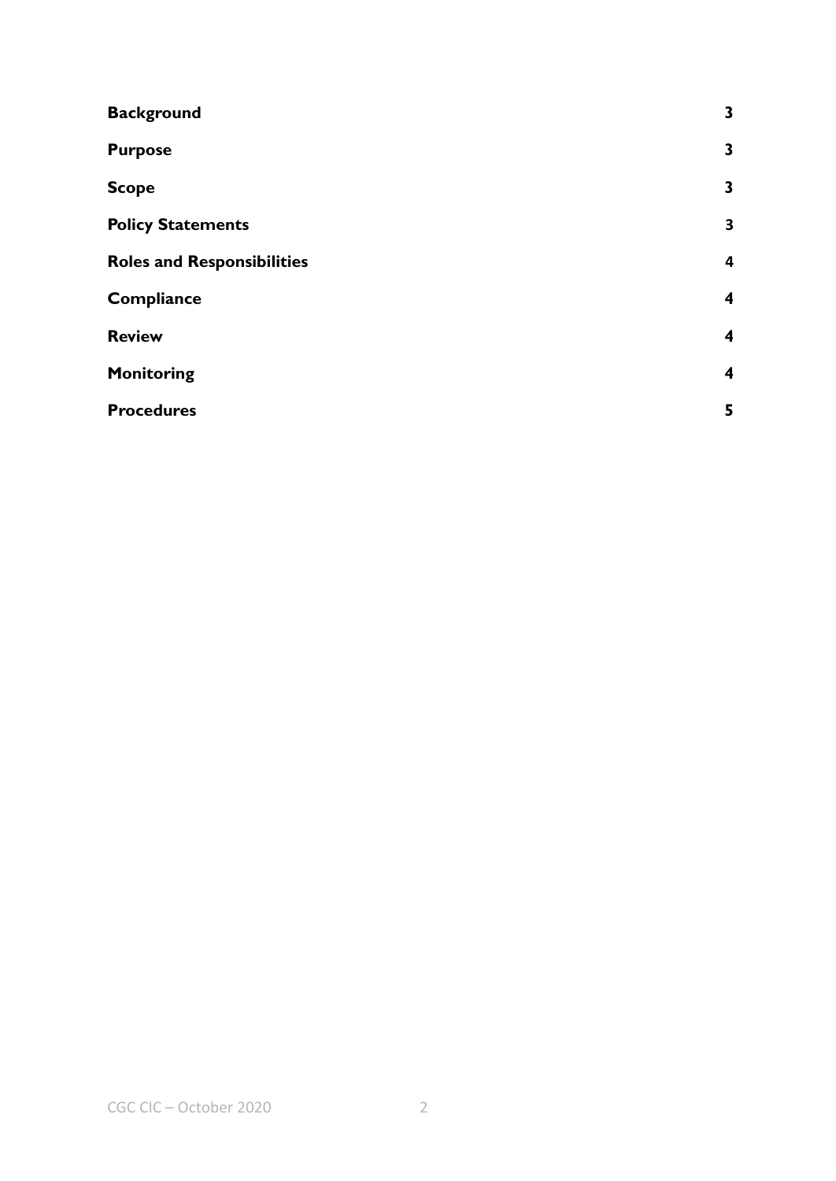| <b>Background</b>                 | $\mathbf{3}$            |
|-----------------------------------|-------------------------|
| <b>Purpose</b>                    | 3                       |
| <b>Scope</b>                      | $\mathbf{3}$            |
| <b>Policy Statements</b>          | 3                       |
| <b>Roles and Responsibilities</b> | 4                       |
| <b>Compliance</b>                 | $\overline{\mathbf{4}}$ |
| <b>Review</b>                     | $\overline{\mathbf{4}}$ |
| <b>Monitoring</b>                 | $\overline{\mathbf{4}}$ |
| <b>Procedures</b>                 | 5                       |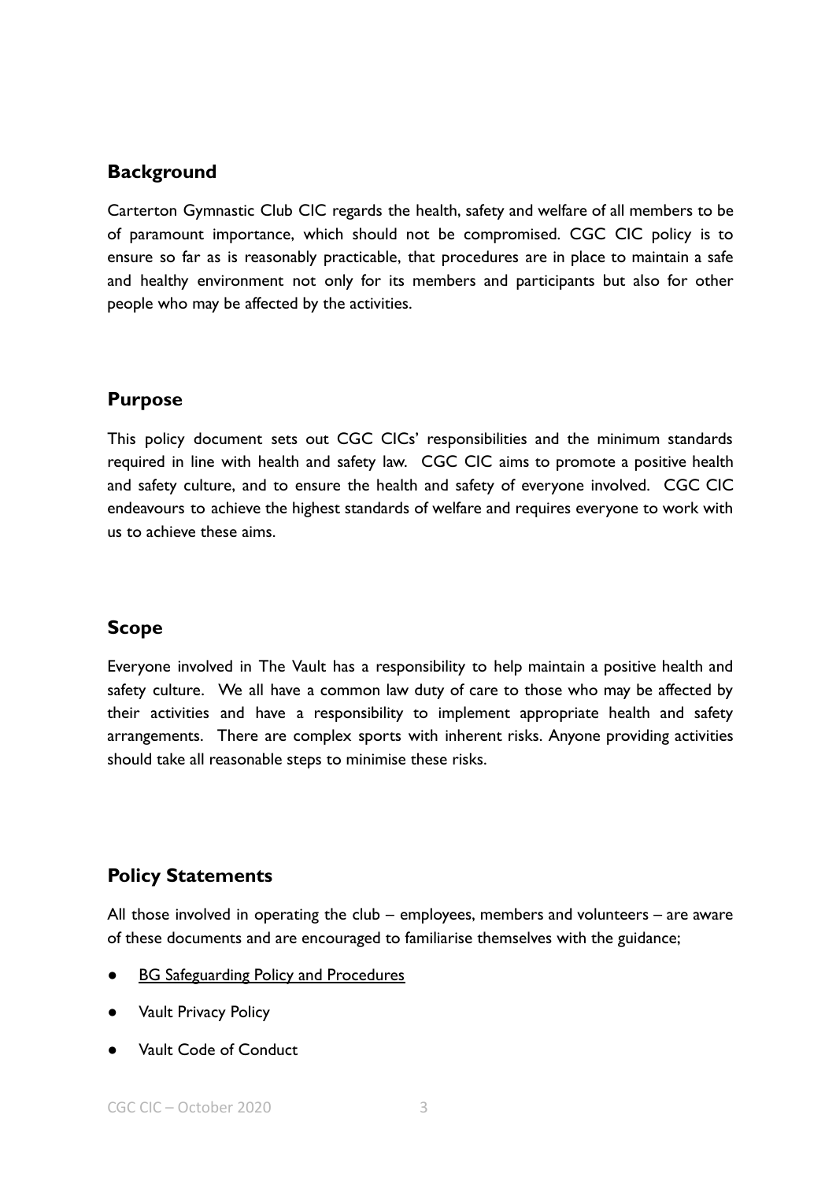#### <span id="page-2-0"></span>**Background**

Carterton Gymnastic Club CIC regards the health, safety and welfare of all members to be of paramount importance, which should not be compromised. CGC CIC policy is to ensure so far as is reasonably practicable, that procedures are in place to maintain a safe and healthy environment not only for its members and participants but also for other people who may be affected by the activities.

## <span id="page-2-1"></span>**Purpose**

This policy document sets out CGC CICs' responsibilities and the minimum standards required in line with health and safety law. CGC CIC aims to promote a positive health and safety culture, and to ensure the health and safety of everyone involved. CGC CIC endeavours to achieve the highest standards of welfare and requires everyone to work with us to achieve these aims.

#### <span id="page-2-2"></span>**Scope**

Everyone involved in The Vault has a responsibility to help maintain a positive health and safety culture. We all have a common law duty of care to those who may be affected by their activities and have a responsibility to implement appropriate health and safety arrangements. There are complex sports with inherent risks. Anyone providing activities should take all reasonable steps to minimise these risks.

## <span id="page-2-3"></span>**Policy Statements**

All those involved in operating the club – employees, members and volunteers – are aware of these documents and are encouraged to familiarise themselves with the guidance;

- **[BG Safeguarding Policy and Procedures](https://www.british-gymnastics.org/documents/coaches-teachers-and-volunteers/course-policies/7184-bg-vunerable-adult-and-safeguarding-and-protecting-children-policy/file)**
- **Vault Privacy Policy**
- Vault Code of Conduct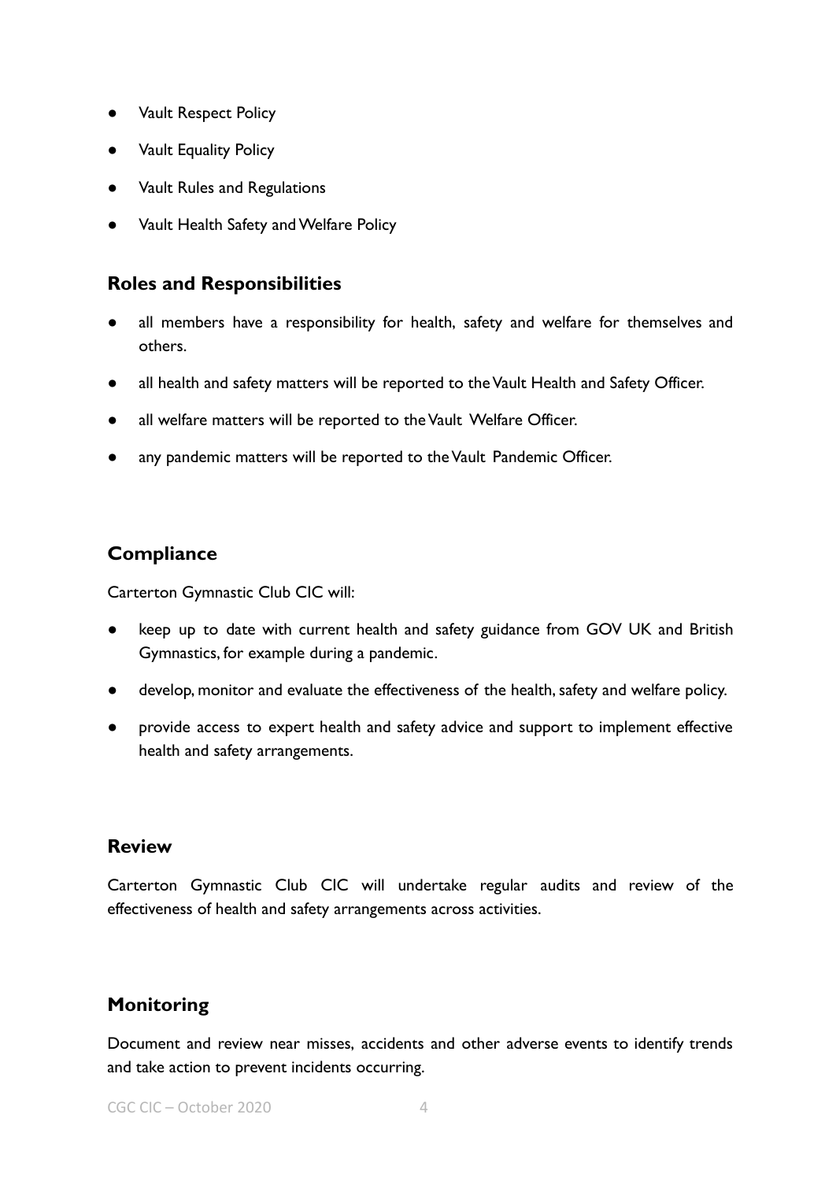- **Vault Respect Policy**
- **Vault Equality Policy**
- Vault Rules and Regulations
- Vault Health Safety and Welfare Policy

#### <span id="page-3-0"></span>**Roles and Responsibilities**

- all members have a responsibility for health, safety and welfare for themselves and others.
- all health and safety matters will be reported to the Vault Health and Safety Officer.
- all welfare matters will be reported to the Vault Welfare Officer.
- any pandemic matters will be reported to the Vault Pandemic Officer.

#### <span id="page-3-1"></span>**Compliance**

Carterton Gymnastic Club CIC will:

- keep up to date with current health and safety guidance from GOV UK and British Gymnastics, for example during a pandemic.
- develop, monitor and evaluate the effectiveness of the health, safety and welfare policy.
- provide access to expert health and safety advice and support to implement effective health and safety arrangements.

#### <span id="page-3-2"></span>**Review**

Carterton Gymnastic Club CIC will undertake regular audits and review of the effectiveness of health and safety arrangements across activities.

#### <span id="page-3-3"></span>**Monitoring**

Document and review near misses, accidents and other adverse events to identify trends and take action to prevent incidents occurring.

CGC CIC – October 2020 4